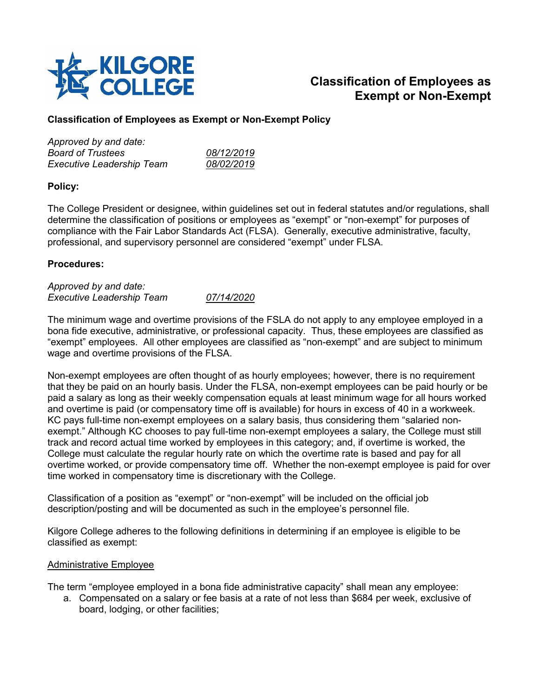

# **Classification of Employees as Exempt or Non-Exempt**

# **Classification of Employees as Exempt or Non-Exempt Policy**

| 08/12/2019        |
|-------------------|
| <i>08/02/2019</i> |
|                   |

## **Policy:**

The College President or designee, within guidelines set out in federal statutes and/or regulations, shall determine the classification of positions or employees as "exempt" or "non-exempt" for purposes of compliance with the Fair Labor Standards Act (FLSA). Generally, executive administrative, faculty, professional, and supervisory personnel are considered "exempt" under FLSA.

## **Procedures:**

| Approved by and date:     |            |
|---------------------------|------------|
| Executive Leadership Team | 07/14/2020 |

The minimum wage and overtime provisions of the FSLA do not apply to any employee employed in a bona fide executive, administrative, or professional capacity. Thus, these employees are classified as "exempt" employees. All other employees are classified as "non-exempt" and are subject to minimum wage and overtime provisions of the FLSA.

Non-exempt employees are often thought of as hourly employees; however, there is no requirement that they be paid on an hourly basis. Under the FLSA, non-exempt employees can be paid hourly or be paid a salary as long as their weekly compensation equals at least minimum wage for all hours worked and overtime is paid (or compensatory time off is available) for hours in excess of 40 in a workweek. KC pays full-time non-exempt employees on a salary basis, thus considering them "salaried nonexempt." Although KC chooses to pay full-time non-exempt employees a salary, the College must still track and record actual time worked by employees in this category; and, if overtime is worked, the College must calculate the regular hourly rate on which the overtime rate is based and pay for all overtime worked, or provide compensatory time off. Whether the non-exempt employee is paid for over time worked in compensatory time is discretionary with the College.

Classification of a position as "exempt" or "non-exempt" will be included on the official job description/posting and will be documented as such in the employee's personnel file.

Kilgore College adheres to the following definitions in determining if an employee is eligible to be classified as exempt:

#### Administrative Employee

The term "employee employed in a bona fide administrative capacity" shall mean any employee:

a. Compensated on a salary or fee basis at a rate of not less than \$684 per week, exclusive of board, lodging, or other facilities;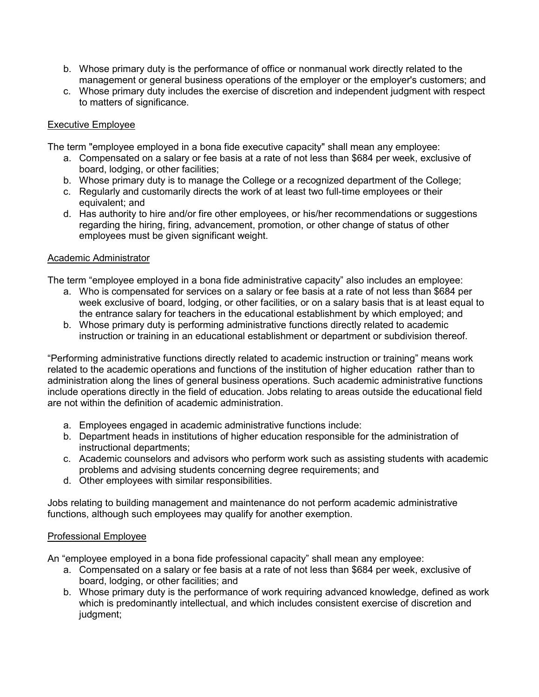- b. Whose primary duty is the performance of office or nonmanual work directly related to the management or general business operations of the employer or the employer's customers; and
- c. Whose primary duty includes the exercise of discretion and independent judgment with respect to matters of significance.

## Executive Employee

The term "employee employed in a bona fide executive capacity" shall mean any employee:

- a. Compensated on a salary or fee basis at a rate of not less than \$684 per week, exclusive of board, lodging, or other facilities;
- b. Whose primary duty is to manage the College or a recognized department of the College;
- c. Regularly and customarily directs the work of at least two full-time employees or their equivalent; and
- d. Has authority to hire and/or fire other employees, or his/her recommendations or suggestions regarding the hiring, firing, advancement, promotion, or other change of status of other employees must be given significant weight.

## Academic Administrator

The term "employee employed in a bona fide administrative capacity" also includes an employee:

- a. Who is compensated for services on a salary or fee basis at a rate of not less than \$684 per week exclusive of board, lodging, or other facilities, or on a salary basis that is at least equal to the entrance salary for teachers in the educational establishment by which employed; and
- b. Whose primary duty is performing administrative functions directly related to academic instruction or training in an educational establishment or department or subdivision thereof.

"Performing administrative functions directly related to academic instruction or training" means work related to the academic operations and functions of the institution of higher education rather than to administration along the lines of general business operations. Such academic administrative functions include operations directly in the field of education. Jobs relating to areas outside the educational field are not within the definition of academic administration.

- a. Employees engaged in academic administrative functions include:
- b. Department heads in institutions of higher education responsible for the administration of instructional departments;
- c. Academic counselors and advisors who perform work such as assisting students with academic problems and advising students concerning degree requirements; and
- d. Other employees with similar responsibilities.

Jobs relating to building management and maintenance do not perform academic administrative functions, although such employees may qualify for another exemption.

#### Professional Employee

An "employee employed in a bona fide professional capacity" shall mean any employee:

- a. Compensated on a salary or fee basis at a rate of not less than \$684 per week, exclusive of board, lodging, or other facilities; and
- b. Whose primary duty is the performance of work requiring advanced knowledge, defined as work which is predominantly intellectual, and which includes consistent exercise of discretion and judgment;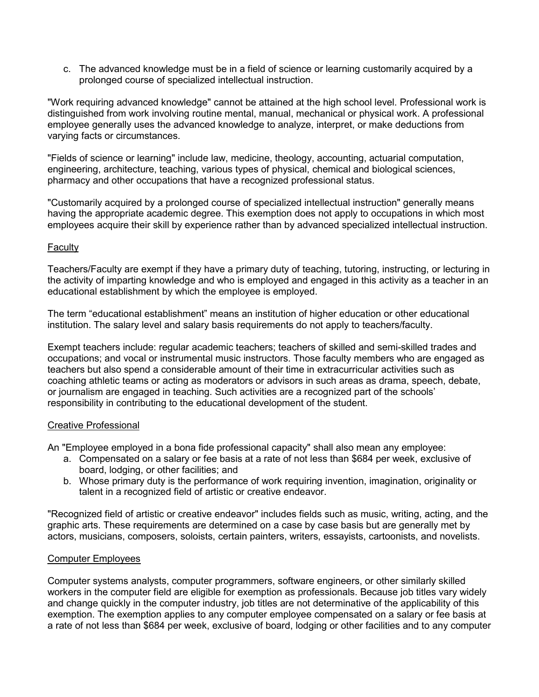c. The advanced knowledge must be in a field of science or learning customarily acquired by a prolonged course of specialized intellectual instruction.

"Work requiring advanced knowledge" cannot be attained at the high school level. Professional work is distinguished from work involving routine mental, manual, mechanical or physical work. A professional employee generally uses the advanced knowledge to analyze, interpret, or make deductions from varying facts or circumstances.

"Fields of science or learning" include law, medicine, theology, accounting, actuarial computation, engineering, architecture, teaching, various types of physical, chemical and biological sciences, pharmacy and other occupations that have a recognized professional status.

"Customarily acquired by a prolonged course of specialized intellectual instruction" generally means having the appropriate academic degree. This exemption does not apply to occupations in which most employees acquire their skill by experience rather than by advanced specialized intellectual instruction.

## **Faculty**

Teachers/Faculty are exempt if they have a primary duty of teaching, tutoring, instructing, or lecturing in the activity of imparting knowledge and who is employed and engaged in this activity as a teacher in an educational establishment by which the employee is employed.

The term "educational establishment" means an institution of higher education or other educational institution. The salary level and salary basis requirements do not apply to teachers/faculty.

Exempt teachers include: regular academic teachers; teachers of skilled and semi-skilled trades and occupations; and vocal or instrumental music instructors. Those faculty members who are engaged as teachers but also spend a considerable amount of their time in extracurricular activities such as coaching athletic teams or acting as moderators or advisors in such areas as drama, speech, debate, or journalism are engaged in teaching. Such activities are a recognized part of the schools' responsibility in contributing to the educational development of the student.

#### Creative Professional

An "Employee employed in a bona fide professional capacity" shall also mean any employee:

- a. Compensated on a salary or fee basis at a rate of not less than \$684 per week, exclusive of board, lodging, or other facilities; and
- b. Whose primary duty is the performance of work requiring invention, imagination, originality or talent in a recognized field of artistic or creative endeavor.

"Recognized field of artistic or creative endeavor" includes fields such as music, writing, acting, and the graphic arts. These requirements are determined on a case by case basis but are generally met by actors, musicians, composers, soloists, certain painters, writers, essayists, cartoonists, and novelists.

## Computer Employees

Computer systems analysts, computer programmers, software engineers, or other similarly skilled workers in the computer field are eligible for exemption as professionals. Because job titles vary widely and change quickly in the computer industry, job titles are not determinative of the applicability of this exemption. The exemption applies to any computer employee compensated on a salary or fee basis at a rate of not less than \$684 per week, exclusive of board, lodging or other facilities and to any computer